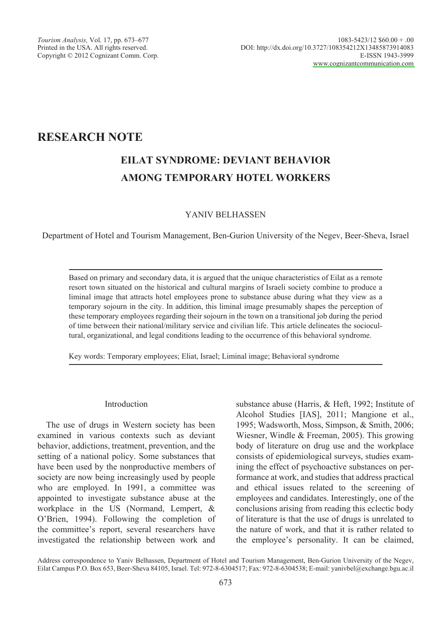# **RESEARCH NOTE**

# **EILAT SYNDROME: DEVIANT BEHAVIOR AMONG TEMPORARY HOTEL WORKERS**

## YANIV BELHASSEN

Department of Hotel and Tourism Management, Ben-Gurion University of the Negev, Beer-Sheva, Israel

Based on primary and secondary data, it is argued that the unique characteristics of Eilat as a remote resort town situated on the historical and cultural margins of Israeli society combine to produce a liminal image that attracts hotel employees prone to substance abuse during what they view as a temporary sojourn in the city. In addition, this liminal image presumably shapes the perception of these temporary employees regarding their sojourn in the town on a transitional job during the period of time between their national/military service and civilian life. This article delineates the sociocultural, organizational, and legal conditions leading to the occurrence of this behavioral syndrome.

Key words: Temporary employees; Eliat, Israel; Liminal image; Behavioral syndrome

#### Introduction

The use of drugs in Western society has been examined in various contexts such as deviant behavior, addictions, treatment, prevention, and the setting of a national policy. Some substances that have been used by the nonproductive members of society are now being increasingly used by people who are employed. In 1991, a committee was appointed to investigate substance abuse at the workplace in the US (Normand, Lempert, & O'Brien, 1994). Following the completion of the committee's report, several researchers have investigated the relationship between work and

substance abuse (Harris, & Heft, 1992; Institute of Alcohol Studies [IAS], 2011; Mangione et al., 1995; Wadsworth, Moss, Simpson, & Smith, 2006; Wiesner, Windle & Freeman, 2005). This growing body of literature on drug use and the workplace consists of epidemiological surveys, studies examining the effect of psychoactive substances on performance at work, and studies that address practical and ethical issues related to the screening of employees and candidates. Interestingly, one of the conclusions arising from reading this eclectic body of literature is that the use of drugs is unrelated to the nature of work, and that it is rather related to the employee's personality. It can be claimed,

Address correspondence to Yaniv Belhassen, Department of Hotel and Tourism Management, Ben-Gurion University of the Negev, Eilat Campus P.O. Box 653, Beer-Sheva 84105, Israel. Tel: 972-8-6304517; Fax: 972-8-6304538; E-mail: yanivbel@exchange.bgu.ac.il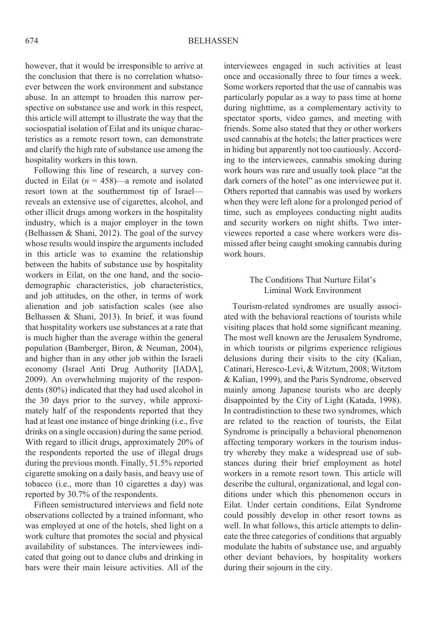however, that it would be irresponsible to arrive at the conclusion that there is no correlation whatsoever between the work environment and substance abuse. In an attempt to broaden this narrow perspective on substance use and work in this respect, this article will attempt to illustrate the way that the sociospatial isolation of Eilat and its unique characteristics as a remote resort town, can demonstrate and clarify the high rate of substance use among the hospitality workers in this town.

Following this line of research, a survey conducted in Eilat ( $n = 458$ )—a remote and isolated resort town at the southernmost tip of Israelreveals an extensive use of cigarettes, alcohol, and other illicit drugs among workers in the hospitality industry, which is a major employer in the town (Belhassen & Shani, 2012). The goal of the survey whose results would inspire the arguments included in this article was to examine the relationship between the habits of substance use by hospitality workers in Eilat, on the one hand, and the sociodemographic characteristics, job characteristics, and job attitudes, on the other, in terms of work alienation and job satisfaction scales (see also Belhassen & Shani, 2013). In brief, it was found that hospitality workers use substances at a rate that is much higher than the average within the general population (Bamberger, Biron, & Neuman, 2004). and higher than in any other job within the Israeli economy (Israel Anti Drug Authority [IADA], 2009). An overwhelming majority of the respondents  $(80\%)$  indicated that they had used alcohol in the 30 days prior to the survey, while approximately half of the respondents reported that they had at least one instance of binge drinking (i.e., five drinks on a single occasion) during the same period. With regard to illicit drugs, approximately 20% of the respondents reported the use of illegal drugs during the previous month. Finally,  $51.5\%$  reported cigarette smoking on a daily basis, and heavy use of tobacco (i.e., more than 10 cigarettes a day) was reported by 30.7% of the respondents.

Fifteen semistructured interviews and field note observations collected by a trained informant, who was employed at one of the hotels, shed light on a work culture that promotes the social and physical availability of substances. The interviewees indicated that going out to dance clubs and drinking in hars were their main leisure activities. All of the

interviewees engaged in such activities at least once and occasionally three to four times a week. Some workers reported that the use of cannabis was particularly popular as a way to pass time at home during nighttime, as a complementary activity to spectator sports, video games, and meeting with friends. Some also stated that they or other workers used cannabis at the hotels; the latter practices were in hiding but apparently not too cautiously. According to the interviewees, cannabis smoking during work hours was rare and usually took place "at the dark corners of the hotel" as one interviewee put it. Others reported that cannabis was used by workers when they were left alone for a prolonged period of time, such as employees conducting night audits and security workers on night shifts. Two interviewees reported a case where workers were dismissed after being caught smoking cannabis during work hours

### The Conditions That Nurture Eilat's **Liminal Work Environment**

Tourism-related syndromes are usually associated with the behavioral reactions of tourists while visiting places that hold some significant meaning. The most well known are the Jerusalem Syndrome, in which tourists or pilgrims experience religious delusions during their visits to the city (Kalian, Catinari, Heresco-Levi, & Witztum, 2008; Witztom & Kalian, 1999), and the Paris Syndrome, observed mainly among Japanese tourists who are deeply disappointed by the City of Light (Katada, 1998). In contradistinction to these two syndromes, which are related to the reaction of tourists, the Eilat Syndrome is principally a behavioral phenomenon affecting temporary workers in the tourism industry whereby they make a widespread use of substances during their brief employment as hotel workers in a remote resort town. This article will describe the cultural, organizational, and legal conditions under which this phenomenon occurs in Eilat. Under certain conditions, Eilat Syndrome could possibly develop in other resort towns as well. In what follows, this article attempts to delineate the three categories of conditions that arguably modulate the habits of substance use, and arguably other deviant behaviors, by hospitality workers during their sojourn in the city.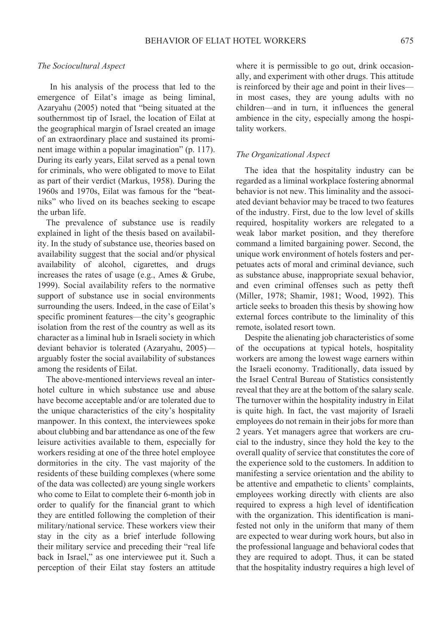#### The Sociocultural Aspect

In his analysis of the process that led to the emergence of Eilat's image as being liminal, Azaryahu (2005) noted that "being situated at the southernmost tip of Israel, the location of Eilat at the geographical margin of Israel created an image of an extraordinary place and sustained its prominent image within a popular imagination"  $(p. 117)$ . During its early years, Eilat served as a penal town for criminals, who were obligated to move to Eilat as part of their verdict (Markus, 1958). During the 1960s and 1970s, Eilat was famous for the "beatniks" who lived on its beaches seeking to escape the urban life.

The prevalence of substance use is readily explained in light of the thesis based on availability. In the study of substance use, theories based on availability suggest that the social and/or physical availability of alcohol, cigarettes, and drugs increases the rates of usage (e.g., Ames & Grube, 1999). Social availability refers to the normative support of substance use in social environments surrounding the users. Indeed, in the case of Eilat's specific prominent features—the city's geographic isolation from the rest of the country as well as its character as a liminal hub in Israeli society in which deviant behavior is tolerated (Azaryahu, 2005)arguably foster the social availability of substances among the residents of Eilat.

The above-mentioned interviews reveal an interhotel culture in which substance use and abuse have become acceptable and/or are tolerated due to the unique characteristics of the city's hospitality manpower. In this context, the interviewees spoke about clubbing and bar attendance as one of the few leisure activities available to them, especially for workers residing at one of the three hotel employee dormitories in the city. The vast majority of the residents of these building complexes (where some of the data was collected) are young single workers who come to Eilat to complete their 6-month job in order to qualify for the financial grant to which they are entitled following the completion of their military/national service. These workers view their stay in the city as a brief interlude following their military service and preceding their "real life back in Israel," as one interviewee put it. Such a perception of their Eilat stay fosters an attitude

where it is permissible to go out, drink occasionally, and experiment with other drugs. This attitude is reinforced by their age and point in their lives in most cases, they are young adults with no children—and in turn, it influences the general ambience in the city, especially among the hospitality workers.

#### The Organizational Aspect

The idea that the hospitality industry can be regarded as a liminal workplace fostering abnormal behavior is not new. This liminality and the associated deviant behavior may be traced to two features of the industry. First, due to the low level of skills required, hospitality workers are relegated to a weak labor market position, and they therefore<br>command a limited bargaining power. Second, the unique work environment of hotels fosters and perpetuates acts of moral and criminal deviance, such as substance abuse, inappropriate sexual behavior, and even criminal offenses such as petty theft (Miller, 1978; Shamir, 1981; Wood, 1992). This article seeks to broaden this thesis by showing how external forces contribute to the liminality of this remote, isolated resort town.

Despite the alienating job characteristics of some of the occupations at typical hotels, hospitality workers are among the lowest wage earners within the Israeli economy. Traditionally, data issued by the Israel Central Bureau of Statistics consistently reveal that they are at the bottom of the salary scale. The turnover within the hospitality industry in Eilat is quite high. In fact, the vast majority of Israeli employees do not remain in their jobs for more than 2 years. Yet managers agree that workers are crucial to the industry, since they hold the key to the overall quality of service that constitutes the core of the experience sold to the customers. In addition to  $\frac{1}{x}$  manifesting a service orientation and the ability to be attentive and empathetic to clients' complaints, employees working directly with clients are also required to express a high level of identification with the organization. This identification is manifested not only in the uniform that many of them are expected to wear during work hours, but also in the professional language and behavioral codes that they are required to adopt. Thus, it can be stated that the hospitality industry requires a high level of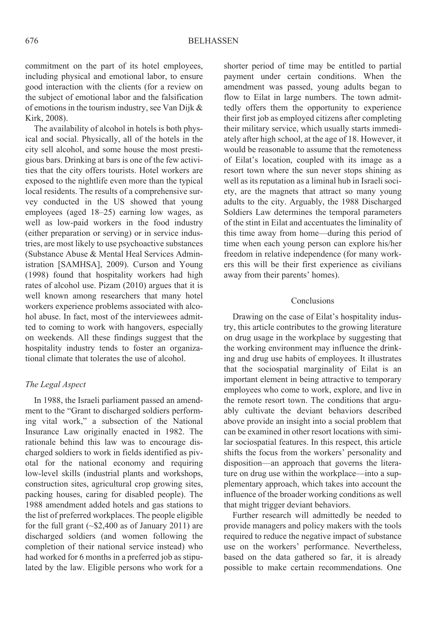commitment on the part of its hotel employees, including physical and emotional labor, to ensure good interaction with the clients (for a review on the subject of emotional labor and the falsification of emotions in the tourism industry, see Van Dijk  $\&$ Kirk, 2008).

The availability of alcohol in hotels is both physical and social. Physically, all of the hotels in the city sell alcohol, and some house the most prestigious bars. Drinking at bars is one of the few activities that the city offers tourists. Hotel workers are exposed to the nightlife even more than the typical local residents. The results of a comprehensive survey conducted in the US showed that young employees (aged  $18-25$ ) earning low wages, as well as low-paid workers in the food industry (either preparation or serving) or in service industries, are most likely to use psychoactive substances (Substance Abuse & Mental Heal Services Administration [SAMHSA], 2009). Curson and Young (1998) found that hospitality workers had high rates of alcohol use. Pizam  $(2010)$  argues that it is well known among researchers that many hotel workers experience problems associated with alcohol abuse. In fact, most of the interviewees admitted to coming to work with hangovers, especially on weekends. All these findings suggest that the hospitality industry tends to foster an organizational climate that tolerates the use of alcohol

#### The Legal Aspect

In 1988, the Israeli parliament passed an amendment to the "Grant to discharged soldiers performing vital work," a subsection of the National Insurance Law originally enacted in 1982. The rationale behind this law was to encourage discharged soldiers to work in fields identified as pivotal for the national economy and requiring low-level skills (industrial plants and workshops, construction sites, agricultural crop growing sites, packing houses, caring for disabled people). The 1988 amendment added hotels and gas stations to the list of preferred workplaces. The people eligible for the full grant  $(*\$2,400$  as of January 2011) are discharged soldiers (and women following the completion of their national service instead) who had worked for 6 months in a preferred job as stipulated by the law. Eligible persons who work for a shorter period of time may be entitled to partial payment under certain conditions. When the amendment was passed, young adults began to flow to Eilat in large numbers. The town admittedly offers them the opportunity to experience their first job as employed citizens after completing their military service, which usually starts immediately after high school, at the age of 18. However, it would be reasonable to assume that the remoteness of Eilat's location, coupled with its image as a resort town where the sun never stops shining as well as its reputation as a liminal hub in Israeli societv. are the magnets that attract so many young adults to the city. Arguably, the 1988 Discharged Soldiers Law determines the temporal parameters of the stint in Eilat and accentuates the liminality of this time away from home—during this period of time when each young person can explore his/her freedom in relative independence (for many workers this will be their first experience as civilians away from their parents' homes).

#### Conclusions

Drawing on the case of Eilat's hospitality industry, this article contributes to the growing literature on drug usage in the workplace by suggesting that the working environment may influence the drinking and drug use habits of employees. It illustrates that the sociospatial marginality of Eilat is an important element in being attractive to temporary employees who come to work, explore, and live in the remote resort town. The conditions that arguably cultivate the deviant behaviors described above provide an insight into a social problem that can be examined in other resort locations with similar sociospatial features. In this respect, this article shifts the focus from the workers' personality and disposition—an approach that governs the literature on drug use within the workplace—into a supplementary approach, which takes into account the influence of the broader working conditions as well that might trigger deviant behaviors.

Further research will admittedly be needed to provide managers and policy makers with the tools required to reduce the negative impact of substance use on the workers' performance. Nevertheless, based on the data gathered so far, it is already possible to make certain recommendations. One